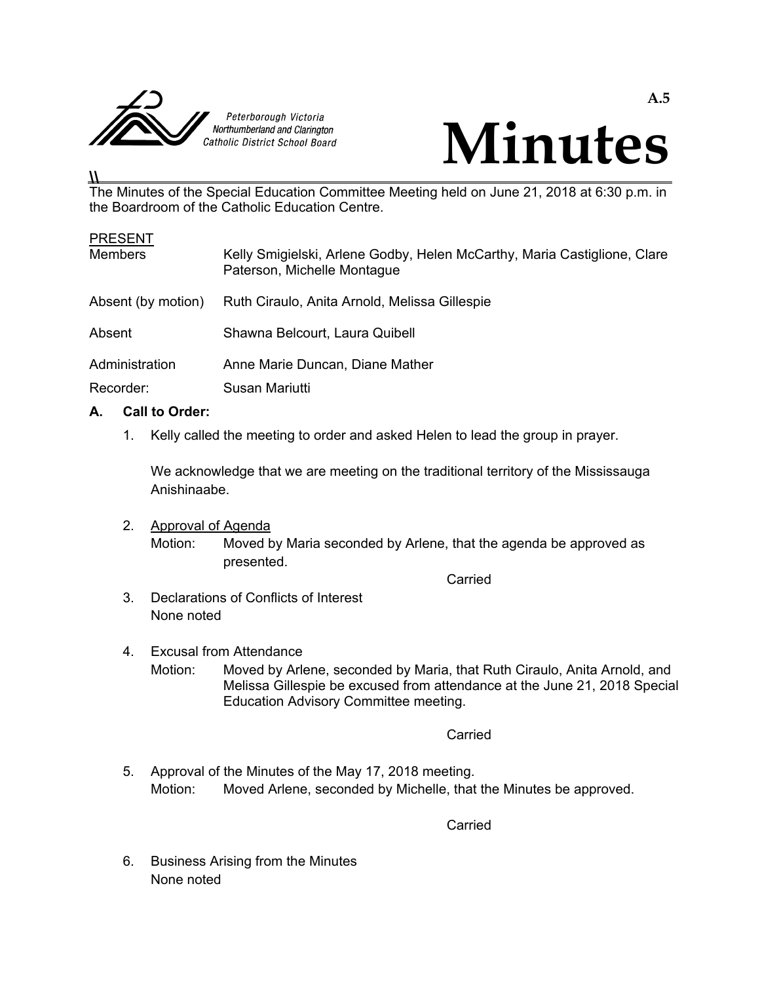



# The Minutes of the Special Education Committee Meeting held on June 21, 2018 at 6:30 p.m. in the Boardroom of the Catholic Education Centre.

| <b>PRESENT</b>     |                                                                                                         |
|--------------------|---------------------------------------------------------------------------------------------------------|
| <b>Members</b>     | Kelly Smigielski, Arlene Godby, Helen McCarthy, Maria Castiglione, Clare<br>Paterson, Michelle Montague |
| Absent (by motion) | Ruth Ciraulo, Anita Arnold, Melissa Gillespie                                                           |
| Absent             | Shawna Belcourt, Laura Quibell                                                                          |
| Administration     | Anne Marie Duncan, Diane Mather                                                                         |
| Recorder:          | Susan Mariutti                                                                                          |

# **A. Call to Order:**

**\\** 

1. Kelly called the meeting to order and asked Helen to lead the group in prayer.

 We acknowledge that we are meeting on the traditional territory of the Mississauga Anishinaabe.

 2. Approval of Agenda Motion: Moved by Maria seconded by Arlene, that the agenda be approved as presented. **Carried** Carried Carried Carried Carried Carried Carried Carried Carried Carried Carried Carried Carried Carried Carried Carried Carried Carried Carried Carried Carried Carried Carried Carried Carried Carried Carried Carr

- 3. Declarations of Conflicts of Interest None noted
- 4. Excusal from Attendance Motion: Moved by Arlene, seconded by Maria, that Ruth Ciraulo, Anita Arnold, and Melissa Gillespie be excused from attendance at the June 21, 2018 Special Education Advisory Committee meeting.

**Carried Carried Carried Carried Carried Carried Carried Carried Carried Carried Carried Carried Carried Carried Carried Carried Carried Carried Carried Carried Carried Carried Carried Carried Carried Carried Carried Carri** 

 5. Approval of the Minutes of the May 17, 2018 meeting. Motion: Moved Arlene, seconded by Michelle, that the Minutes be approved.

**Carried** Carried Carried Carried Carried Carried Carried Carried Carried Carried Carried Carried Carried Carried Carried Carried Carried Carried Carried Carried Carried Carried Carried Carried Carried Carried Carried Carr

 6. Business Arising from the Minutes None noted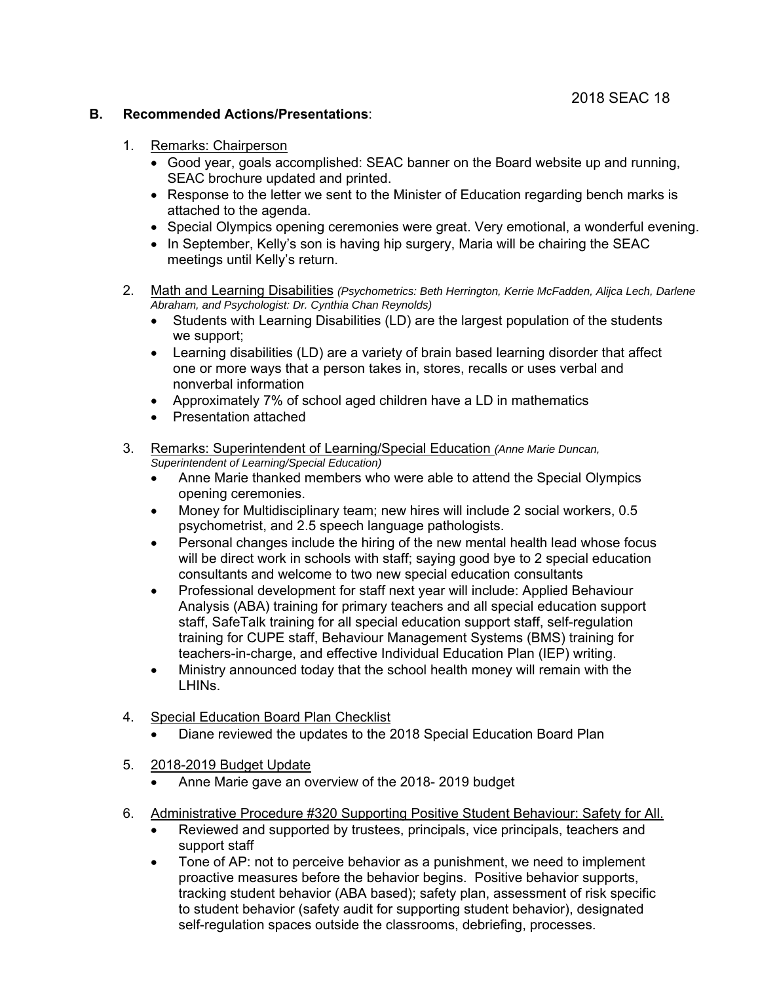### **B. Recommended Actions/Presentations**:

- 1. Remarks: Chairperson
	- Good year, goals accomplished: SEAC banner on the Board website up and running, SEAC brochure updated and printed.
	- Response to the letter we sent to the Minister of Education regarding bench marks is attached to the agenda.
	- Special Olympics opening ceremonies were great. Very emotional, a wonderful evening.
	- In September, Kelly's son is having hip surgery, Maria will be chairing the SEAC meetings until Kelly's return.
- 2. Math and Learning Disabilities *(Psychometrics: Beth Herrington, Kerrie McFadden, Alijca Lech, Darlene Abraham, and Psychologist: Dr. Cynthia Chan Reynolds)* 
	- Students with Learning Disabilities (LD) are the largest population of the students we support;
	- Learning disabilities (LD) are a variety of brain based learning disorder that affect one or more ways that a person takes in, stores, recalls or uses verbal and nonverbal information
	- Approximately 7% of school aged children have a LD in mathematics
	- Presentation attached
- 3. Remarks: Superintendent of Learning/Special Education *(Anne Marie Duncan, Superintendent of Learning/Special Education)*
	- Anne Marie thanked members who were able to attend the Special Olympics opening ceremonies.
	- Money for Multidisciplinary team; new hires will include 2 social workers, 0.5 psychometrist, and 2.5 speech language pathologists.
	- Personal changes include the hiring of the new mental health lead whose focus will be direct work in schools with staff; saying good bye to 2 special education consultants and welcome to two new special education consultants
	- Professional development for staff next year will include: Applied Behaviour Analysis (ABA) training for primary teachers and all special education support staff, SafeTalk training for all special education support staff, self-regulation training for CUPE staff, Behaviour Management Systems (BMS) training for teachers-in-charge, and effective Individual Education Plan (IEP) writing.
	- Ministry announced today that the school health money will remain with the LHINs.
- 4. Special Education Board Plan Checklist
	- Diane reviewed the updates to the 2018 Special Education Board Plan
- 5. 2018-2019 Budget Update
	- Anne Marie gave an overview of the 2018- 2019 budget
- 6. Administrative Procedure #320 Supporting Positive Student Behaviour: Safety for All.
	- Reviewed and supported by trustees, principals, vice principals, teachers and support staff
	- Tone of AP: not to perceive behavior as a punishment, we need to implement proactive measures before the behavior begins. Positive behavior supports, tracking student behavior (ABA based); safety plan, assessment of risk specific to student behavior (safety audit for supporting student behavior), designated self-regulation spaces outside the classrooms, debriefing, processes.